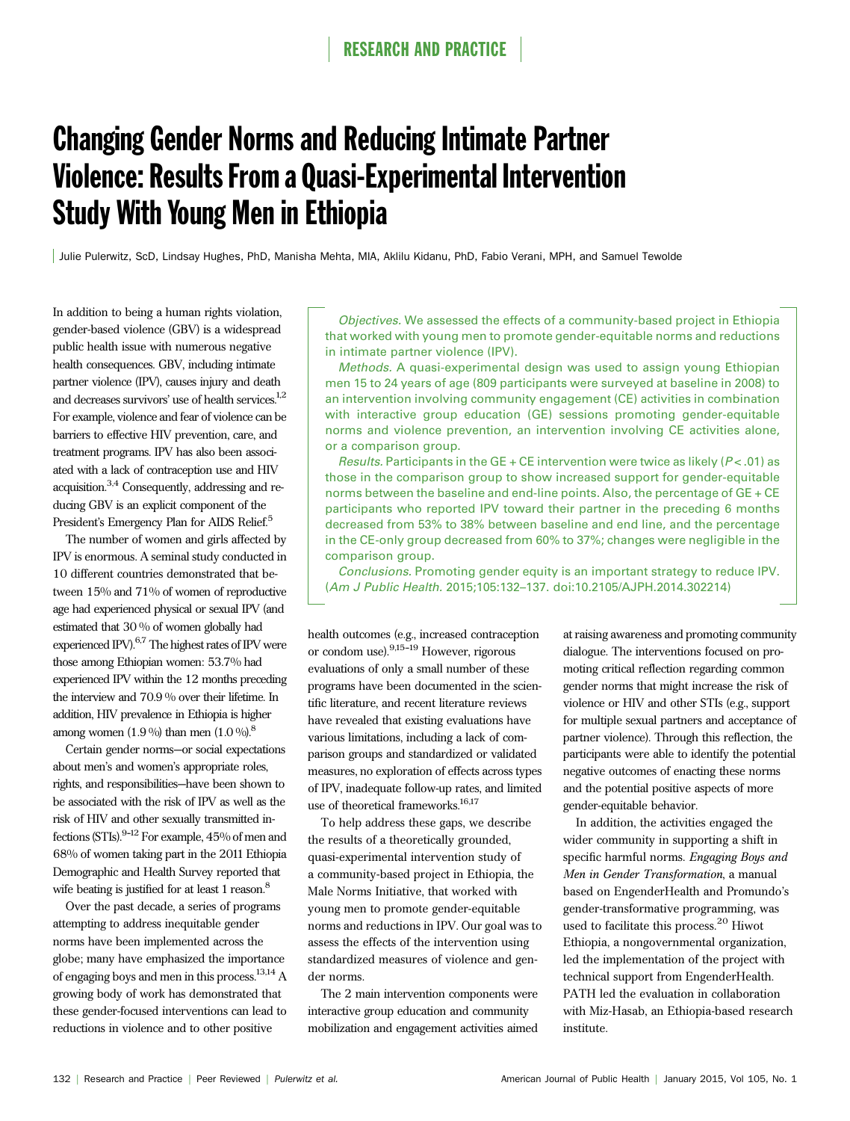# Changing Gender Norms and Reducing Intimate Partner Violence: Results From a Quasi-Experimental Intervention Study With Young Men in Ethiopia

Julie Pulerwitz, ScD, Lindsay Hughes, PhD, Manisha Mehta, MIA, Aklilu Kidanu, PhD, Fabio Verani, MPH, and Samuel Tewolde

In addition to being a human rights violation, gender-based violence (GBV) is a widespread public health issue with numerous negative health consequences. GBV, including intimate partner violence (IPV), causes injury and death and decreases survivors' use of health services.<sup>1,2</sup> For example, violence and fear of violence can be barriers to effective HIV prevention, care, and treatment programs. IPV has also been associated with a lack of contraception use and HIV acquisition.3,4 Consequently, addressing and reducing GBV is an explicit component of the President's Emergency Plan for AIDS Relief.<sup>5</sup>

The number of women and girls affected by IPV is enormous. A seminal study conducted in 10 different countries demonstrated that between 15% and 71% of women of reproductive age had experienced physical or sexual IPV (and estimated that 30 % of women globally had experienced IPV).<sup>6,7</sup> The highest rates of IPV were those among Ethiopian women: 53.7% had experienced IPV within the 12 months preceding the interview and 70.9 % over their lifetime. In addition, HIV prevalence in Ethiopia is higher among women  $(1.9 \%)$  than men  $(1.0 \%)$ .<sup>8</sup>

Certain gender norms—or social expectations about men's and women's appropriate roles, rights, and responsibilities—have been shown to be associated with the risk of IPV as well as the risk of HIV and other sexually transmitted infections (STIs). $9-12$  For example, 45% of men and 68% of women taking part in the 2011 Ethiopia Demographic and Health Survey reported that wife beating is justified for at least 1 reason.<sup>8</sup>

Over the past decade, a series of programs attempting to address inequitable gender norms have been implemented across the globe; many have emphasized the importance of engaging boys and men in this process.13,14 A growing body of work has demonstrated that these gender-focused interventions can lead to reductions in violence and to other positive

Objectives. We assessed the effects of a community-based project in Ethiopia that worked with young men to promote gender-equitable norms and reductions in intimate partner violence (IPV).

Methods. A quasi-experimental design was used to assign young Ethiopian men 15 to 24 years of age (809 participants were surveyed at baseline in 2008) to an intervention involving community engagement (CE) activities in combination with interactive group education (GE) sessions promoting gender-equitable norms and violence prevention, an intervention involving CE activities alone, or a comparison group.

Results. Participants in the GE + CE intervention were twice as likely ( $P < .01$ ) as those in the comparison group to show increased support for gender-equitable norms between the baseline and end-line points. Also, the percentage of GE + CE participants who reported IPV toward their partner in the preceding 6 months decreased from 53% to 38% between baseline and end line, and the percentage in the CE-only group decreased from 60% to 37%; changes were negligible in the comparison group.

Conclusions. Promoting gender equity is an important strategy to reduce IPV. (Am J Public Health. 2015;105:132–137. doi:10.2105/AJPH.2014.302214)

health outcomes (e.g., increased contraception or condom use). $^{9,15-19}$  However, rigorous evaluations of only a small number of these programs have been documented in the scientific literature, and recent literature reviews have revealed that existing evaluations have various limitations, including a lack of comparison groups and standardized or validated measures, no exploration of effects across types of IPV, inadequate follow-up rates, and limited use of theoretical frameworks.<sup>16,17</sup>

To help address these gaps, we describe the results of a theoretically grounded, quasi-experimental intervention study of a community-based project in Ethiopia, the Male Norms Initiative, that worked with young men to promote gender-equitable norms and reductions in IPV. Our goal was to assess the effects of the intervention using standardized measures of violence and gender norms.

The 2 main intervention components were interactive group education and community mobilization and engagement activities aimed at raising awareness and promoting community dialogue. The interventions focused on promoting critical reflection regarding common gender norms that might increase the risk of violence or HIV and other STIs (e.g., support for multiple sexual partners and acceptance of partner violence). Through this reflection, the participants were able to identify the potential negative outcomes of enacting these norms and the potential positive aspects of more gender-equitable behavior.

In addition, the activities engaged the wider community in supporting a shift in specific harmful norms. Engaging Boys and Men in Gender Transformation, a manual based on EngenderHealth and Promundo's gender-transformative programming, was used to facilitate this process.<sup>20</sup> Hiwot Ethiopia, a nongovernmental organization, led the implementation of the project with technical support from EngenderHealth. PATH led the evaluation in collaboration with Miz-Hasab, an Ethiopia-based research institute.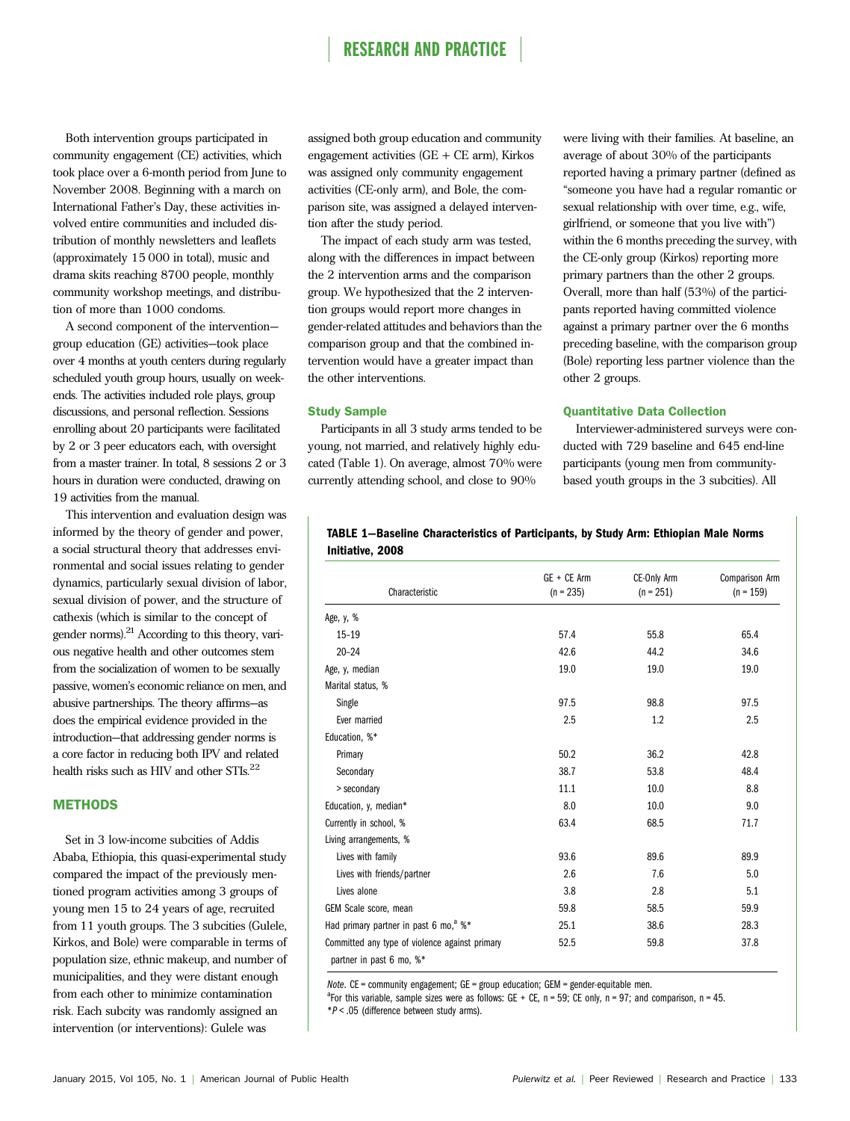Both intervention groups participated in community engagement (CE) activities, which took place over a 6-month period from June to November 2008. Beginning with a march on International Father's Day, these activities involved entire communities and included distribution of monthly newsletters and leaflets (approximately 15 000 in total), music and drama skits reaching 8700 people, monthly community workshop meetings, and distribution of more than 1000 condoms.

A second component of the intervention group education (GE) activities—took place over 4 months at youth centers during regularly scheduled youth group hours, usually on weekends. The activities included role plays, group discussions, and personal reflection. Sessions enrolling about 20 participants were facilitated by 2 or 3 peer educators each, with oversight from a master trainer. In total, 8 sessions 2 or 3 hours in duration were conducted, drawing on 19 activities from the manual.

This intervention and evaluation design was informed by the theory of gender and power, a social structural theory that addresses environmental and social issues relating to gender dynamics, particularly sexual division of labor, sexual division of power, and the structure of cathexis (which is similar to the concept of gender norms). $^{21}$  According to this theory, various negative health and other outcomes stem from the socialization of women to be sexually passive, women's economic reliance on men, and abusive partnerships. The theory affirms—as does the empirical evidence provided in the introduction—that addressing gender norms is a core factor in reducing both IPV and related health risks such as HIV and other STIs.<sup>22</sup>

### **METHODS**

Set in 3 low-income subcities of Addis Ababa, Ethiopia, this quasi-experimental study compared the impact of the previously mentioned program activities among 3 groups of young men 15 to 24 years of age, recruited from 11 youth groups. The 3 subcities (Gulele, Kirkos, and Bole) were comparable in terms of population size, ethnic makeup, and number of municipalities, and they were distant enough from each other to minimize contamination risk. Each subcity was randomly assigned an intervention (or interventions): Gulele was

assigned both group education and community engagement activities (GE + CE arm), Kirkos was assigned only community engagement activities (CE-only arm), and Bole, the comparison site, was assigned a delayed intervention after the study period.

The impact of each study arm was tested, along with the differences in impact between the 2 intervention arms and the comparison group. We hypothesized that the 2 intervention groups would report more changes in gender-related attitudes and behaviors than the comparison group and that the combined intervention would have a greater impact than the other interventions.

#### Study Sample

Participants in all 3 study arms tended to be young, not married, and relatively highly educated (Table 1). On average, almost 70% were currently attending school, and close to 90%

were living with their families. At baseline, an average of about 30% of the participants reported having a primary partner (defined as "someone you have had a regular romantic or sexual relationship with over time, e.g., wife, girlfriend, or someone that you live with") within the 6 months preceding the survey, with the CE-only group (Kirkos) reporting more primary partners than the other 2 groups. Overall, more than half (53%) of the participants reported having committed violence against a primary partner over the 6 months preceding baseline, with the comparison group (Bole) reporting less partner violence than the other 2 groups.

### Quantitative Data Collection

Interviewer-administered surveys were conducted with 729 baseline and 645 end-line participants (young men from communitybased youth groups in the 3 subcities). All

| Characteristic                                                             | $GE + CE$ Arm<br>$(n = 235)$ | CE-Only Arm<br>$(n = 251)$ | Comparison Arm<br>$(n = 159)$ |
|----------------------------------------------------------------------------|------------------------------|----------------------------|-------------------------------|
| Age, y, %                                                                  |                              |                            |                               |
| $15 - 19$                                                                  | 57.4                         | 55.8                       | 65.4                          |
| $20 - 24$                                                                  | 42.6                         | 44.2                       | 34.6                          |
| Age, y, median                                                             | 19.0                         | 19.0                       | 19.0                          |
| Marital status, %                                                          |                              |                            |                               |
| Single                                                                     | 97.5                         | 98.8                       | 97.5                          |
| Ever married                                                               | 2.5                          | 1.2                        | 2.5                           |
| Education, %*                                                              |                              |                            |                               |
| Primary                                                                    | 50.2                         | 36.2                       | 42.8                          |
| Secondary                                                                  | 38.7                         | 53.8                       | 48.4                          |
| > secondary                                                                | 11.1                         | 10.0                       | 8.8                           |
| Education, y, median*                                                      | 8.0                          | 10.0                       | 9.0                           |
| Currently in school, %                                                     | 63.4                         | 68.5                       | 71.7                          |
| Living arrangements, %                                                     |                              |                            |                               |
| Lives with family                                                          | 93.6                         | 89.6                       | 89.9                          |
| Lives with friends/partner                                                 | 2.6                          | 7.6                        | 5.0                           |
| Lives alone                                                                | 3.8                          | 2.8                        | 5.1                           |
| GEM Scale score, mean                                                      | 59.8                         | 58.5                       | 59.9                          |
| Had primary partner in past 6 mo, <sup>a</sup> $%^*$                       | 25.1                         | 38.6                       | 28.3                          |
| Committed any type of violence against primary<br>partner in past 6 mo, %* | 52.5                         | 59.8                       | 37.8                          |

### TABLE 1—Baseline Characteristics of Participants, by Study Arm: Ethiopian Male Norms Initiative, 2008

Note.  $CE =$  community engagement;  $GE =$  group education;  $GEN =$  gender-equitable men.

<sup>a</sup>For this variable, sample sizes were as follows: GE + CE, n = 59; CE only, n = 97; and comparison, n = 45.

\*P < .05 (difference between study arms).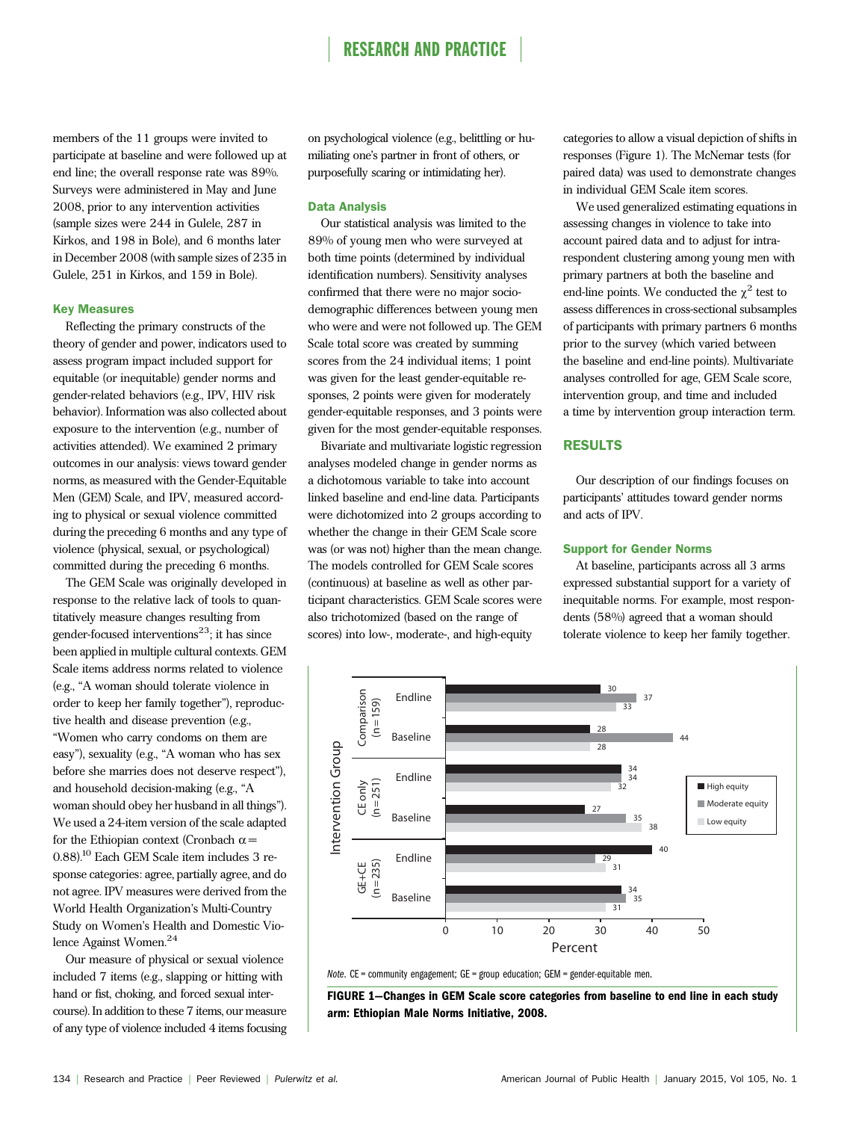members of the 11 groups were invited to participate at baseline and were followed up at end line; the overall response rate was 89%. Surveys were administered in May and June 2008, prior to any intervention activities (sample sizes were 244 in Gulele, 287 in Kirkos, and 198 in Bole), and 6 months later in December 2008 (with sample sizes of 235 in Gulele, 251 in Kirkos, and 159 in Bole).

### Key Measures

Reflecting the primary constructs of the theory of gender and power, indicators used to assess program impact included support for equitable (or inequitable) gender norms and gender-related behaviors (e.g., IPV, HIV risk behavior). Information was also collected about exposure to the intervention (e.g., number of activities attended). We examined 2 primary outcomes in our analysis: views toward gender norms, as measured with the Gender-Equitable Men (GEM) Scale, and IPV, measured according to physical or sexual violence committed during the preceding 6 months and any type of violence (physical, sexual, or psychological) committed during the preceding 6 months.

The GEM Scale was originally developed in response to the relative lack of tools to quantitatively measure changes resulting from gender-focused interventions<sup>23</sup>; it has since been applied in multiple cultural contexts. GEM Scale items address norms related to violence (e.g., "A woman should tolerate violence in order to keep her family together"), reproductive health and disease prevention (e.g., "Women who carry condoms on them are easy"), sexuality (e.g., "A woman who has sex before she marries does not deserve respect"), and household decision-making (e.g., "A woman should obey her husband in all things"). We used a 24-item version of the scale adapted for the Ethiopian context (Cronbach  $\alpha =$ 0.88).10 Each GEM Scale item includes 3 response categories: agree, partially agree, and do not agree. IPV measures were derived from the World Health Organization's Multi-Country Study on Women's Health and Domestic Violence Against Women.<sup>24</sup>

Our measure of physical or sexual violence included 7 items (e.g., slapping or hitting with hand or fist, choking, and forced sexual intercourse). In addition to these 7 items, our measure of any type of violence included 4 items focusing on psychological violence (e.g., belittling or humiliating one's partner in front of others, or purposefully scaring or intimidating her).

### Data Analysis

Our statistical analysis was limited to the 89% of young men who were surveyed at both time points (determined by individual identification numbers). Sensitivity analyses confirmed that there were no major sociodemographic differences between young men who were and were not followed up. The GEM Scale total score was created by summing scores from the 24 individual items; 1 point was given for the least gender-equitable responses, 2 points were given for moderately gender-equitable responses, and 3 points were given for the most gender-equitable responses.

Bivariate and multivariate logistic regression analyses modeled change in gender norms as a dichotomous variable to take into account linked baseline and end-line data. Participants were dichotomized into 2 groups according to whether the change in their GEM Scale score was (or was not) higher than the mean change. The models controlled for GEM Scale scores (continuous) at baseline as well as other participant characteristics. GEM Scale scores were also trichotomized (based on the range of scores) into low-, moderate-, and high-equity

categories to allow a visual depiction of shifts in responses (Figure 1). The McNemar tests (for paired data) was used to demonstrate changes in individual GEM Scale item scores.

We used generalized estimating equations in assessing changes in violence to take into account paired data and to adjust for intrarespondent clustering among young men with primary partners at both the baseline and end-line points. We conducted the  $\chi^2$  test to assess differences in cross-sectional subsamples of participants with primary partners 6 months prior to the survey (which varied between the baseline and end-line points). Multivariate analyses controlled for age, GEM Scale score, intervention group, and time and included a time by intervention group interaction term.

### RESULTS

Our description of our findings focuses on participants' attitudes toward gender norms and acts of IPV.

### Support for Gender Norms

At baseline, participants across all 3 arms expressed substantial support for a variety of inequitable norms. For example, most respondents (58%) agreed that a woman should tolerate violence to keep her family together.



Note. CE = community engagement; GE = group education; GEM = gender-equitable men.

FIGURE 1—Changes in GEM Scale score categories from baseline to end line in each study arm: Ethiopian Male Norms Initiative, 2008.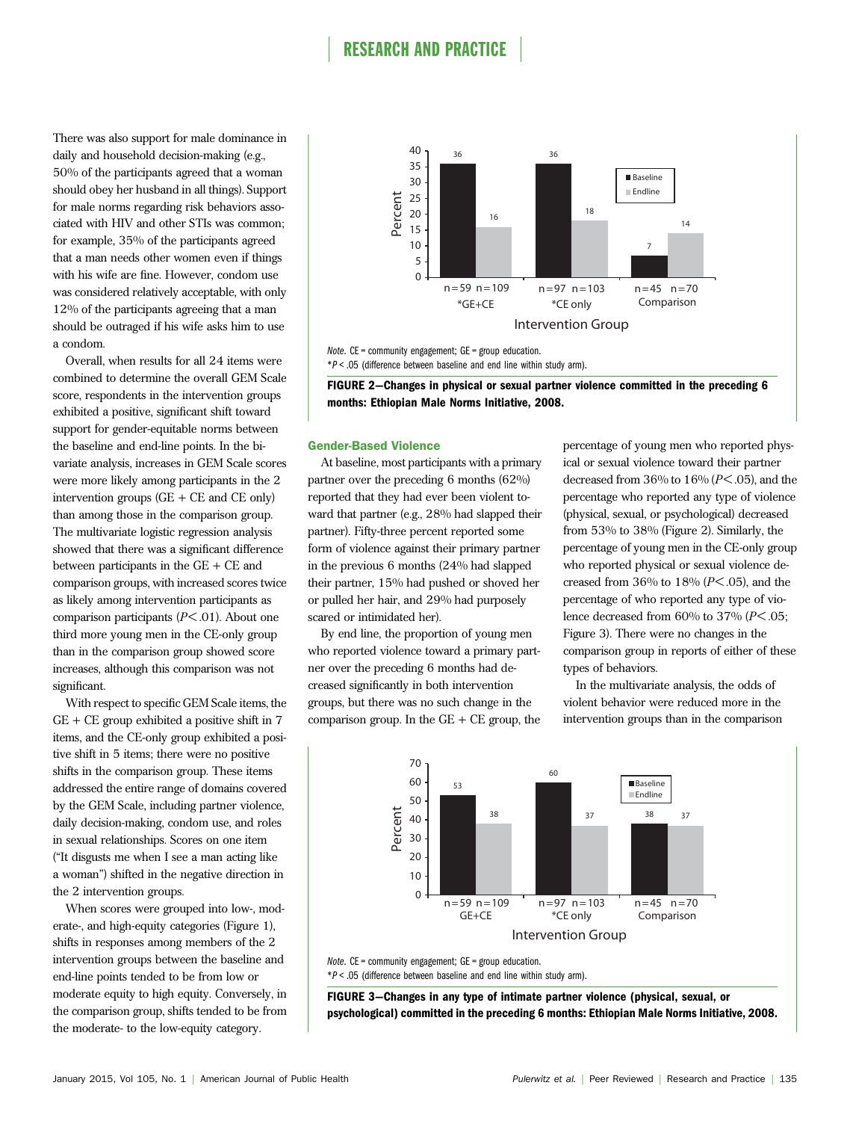There was also support for male dominance in daily and household decision-making (e.g., 50% of the participants agreed that a woman should obey her husband in all things). Support for male norms regarding risk behaviors associated with HIV and other STIs was common; for example, 35% of the participants agreed that a man needs other women even if things with his wife are fine. However, condom use was considered relatively acceptable, with only 12% of the participants agreeing that a man should be outraged if his wife asks him to use a condom.

Overall, when results for all 24 items were combined to determine the overall GEM Scale score, respondents in the intervention groups exhibited a positive, significant shift toward support for gender-equitable norms between the baseline and end-line points. In the bivariate analysis, increases in GEM Scale scores were more likely among participants in the 2 intervention groups  $(GE + CE$  and  $CE$  only) than among those in the comparison group. The multivariate logistic regression analysis showed that there was a significant difference between participants in the GE + CE and comparison groups, with increased scores twice as likely among intervention participants as comparison participants  $(P<.01)$ . About one third more young men in the CE-only group than in the comparison group showed score increases, although this comparison was not significant.

With respect to specific GEM Scale items, the  $GE + CE$  group exhibited a positive shift in  $7$ items, and the CE-only group exhibited a positive shift in 5 items; there were no positive shifts in the comparison group. These items addressed the entire range of domains covered by the GEM Scale, including partner violence, daily decision-making, condom use, and roles in sexual relationships. Scores on one item ("It disgusts me when I see a man acting like a woman") shifted in the negative direction in the 2 intervention groups.

When scores were grouped into low-, moderate-, and high-equity categories (Figure 1), shifts in responses among members of the 2 intervention groups between the baseline and end-line points tended to be from low or moderate equity to high equity. Conversely, in the comparison group, shifts tended to be from the moderate- to the low-equity category.



Note. CE = community engagement; GE = group education.

 $*P < .05$  (difference between baseline and end line within study arm).

FIGURE 2—Changes in physical or sexual partner violence committed in the preceding 6 months: Ethiopian Male Norms Initiative, 2008.

### Gender-Based Violence

At baseline, most participants with a primary partner over the preceding 6 months (62%) reported that they had ever been violent toward that partner (e.g., 28% had slapped their partner). Fifty-three percent reported some form of violence against their primary partner in the previous 6 months (24% had slapped their partner, 15% had pushed or shoved her or pulled her hair, and 29% had purposely scared or intimidated her).

By end line, the proportion of young men who reported violence toward a primary partner over the preceding 6 months had decreased significantly in both intervention groups, but there was no such change in the comparison group. In the  $GE + CE$  group, the percentage of young men who reported physical or sexual violence toward their partner decreased from  $36\%$  to  $16\%$  ( $P < .05$ ), and the percentage who reported any type of violence (physical, sexual, or psychological) decreased from 53% to 38% (Figure 2). Similarly, the percentage of young men in the CE-only group who reported physical or sexual violence decreased from 36% to 18%  $(P<.05)$ , and the percentage of who reported any type of violence decreased from  $60\%$  to  $37\%$   $(P<.05;$ Figure 3). There were no changes in the comparison group in reports of either of these types of behaviors.

In the multivariate analysis, the odds of violent behavior were reduced more in the intervention groups than in the comparison



Note.  $CE =$  community engagement;  $GE =$  group education.

 $*P < .05$  (difference between baseline and end line within study arm).

FIGURE 3—Changes in any type of intimate partner violence (physical, sexual, or psychological) committed in the preceding 6 months: Ethiopian Male Norms Initiative, 2008.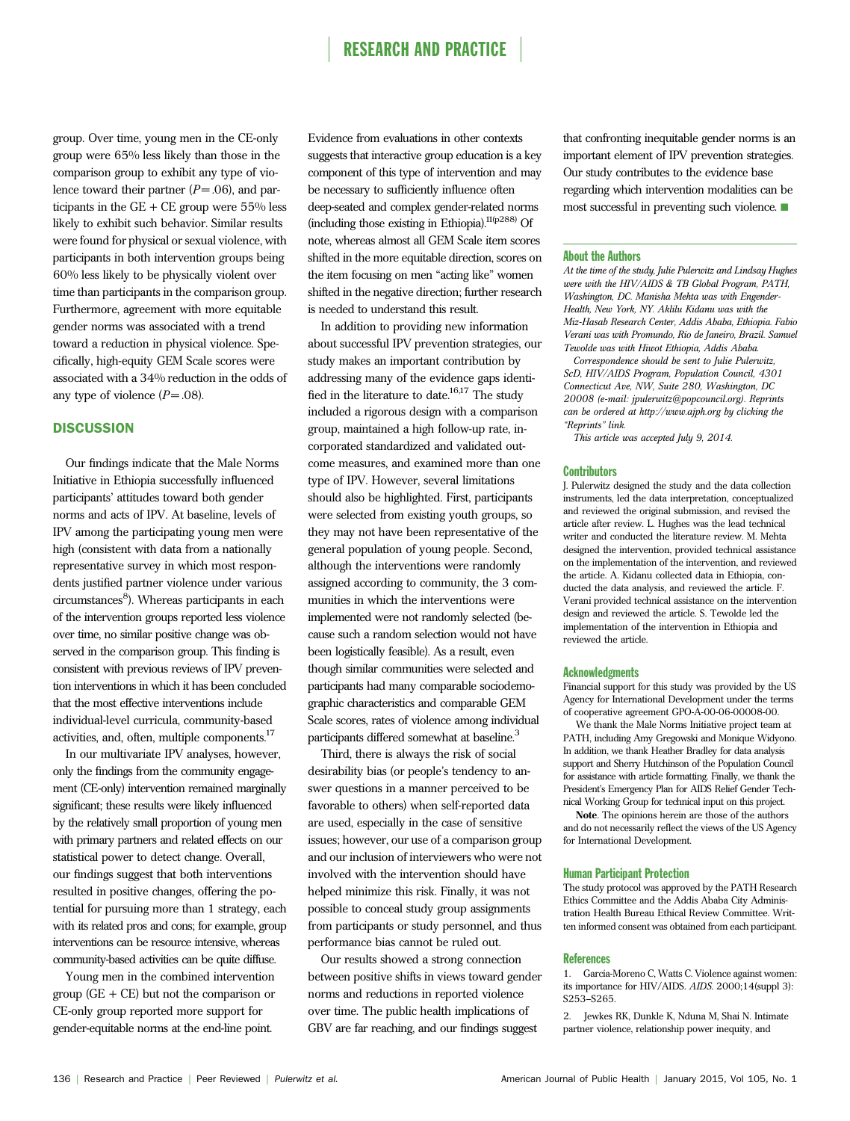group. Over time, young men in the CE-only group were 65% less likely than those in the comparison group to exhibit any type of violence toward their partner  $(P = .06)$ , and participants in the  $GE + CE$  group were  $55\%$  less likely to exhibit such behavior. Similar results were found for physical or sexual violence, with participants in both intervention groups being 60% less likely to be physically violent over time than participants in the comparison group. Furthermore, agreement with more equitable gender norms was associated with a trend toward a reduction in physical violence. Specifically, high-equity GEM Scale scores were associated with a 34% reduction in the odds of any type of violence  $(P = .08)$ .

### **DISCUSSION**

Our findings indicate that the Male Norms Initiative in Ethiopia successfully influenced participants' attitudes toward both gender norms and acts of IPV. At baseline, levels of IPV among the participating young men were high (consistent with data from a nationally representative survey in which most respondents justified partner violence under various circumstances<sup>8</sup>). Whereas participants in each of the intervention groups reported less violence over time, no similar positive change was observed in the comparison group. This finding is consistent with previous reviews of IPV prevention interventions in which it has been concluded that the most effective interventions include individual-level curricula, community-based activities, and, often, multiple components.17

In our multivariate IPV analyses, however, only the findings from the community engagement (CE-only) intervention remained marginally significant; these results were likely influenced by the relatively small proportion of young men with primary partners and related effects on our statistical power to detect change. Overall, our findings suggest that both interventions resulted in positive changes, offering the potential for pursuing more than 1 strategy, each with its related pros and cons; for example, group interventions can be resource intensive, whereas community-based activities can be quite diffuse.

Young men in the combined intervention  $group (GE + CE)$  but not the comparison or CE-only group reported more support for gender-equitable norms at the end-line point.

Evidence from evaluations in other contexts suggests that interactive group education is a key component of this type of intervention and may be necessary to sufficiently influence often deep-seated and complex gender-related norms (including those existing in Ethiopia).  $\rm^{11(p288)}$  Of note, whereas almost all GEM Scale item scores shifted in the more equitable direction, scores on the item focusing on men "acting like" women shifted in the negative direction; further research is needed to understand this result.

In addition to providing new information about successful IPV prevention strategies, our study makes an important contribution by addressing many of the evidence gaps identified in the literature to date. $16,17$  The study included a rigorous design with a comparison group, maintained a high follow-up rate, incorporated standardized and validated outcome measures, and examined more than one type of IPV. However, several limitations should also be highlighted. First, participants were selected from existing youth groups, so they may not have been representative of the general population of young people. Second, although the interventions were randomly assigned according to community, the 3 communities in which the interventions were implemented were not randomly selected (because such a random selection would not have been logistically feasible). As a result, even though similar communities were selected and participants had many comparable sociodemographic characteristics and comparable GEM Scale scores, rates of violence among individual participants differed somewhat at baseline.<sup>3</sup>

Third, there is always the risk of social desirability bias (or people's tendency to answer questions in a manner perceived to be favorable to others) when self-reported data are used, especially in the case of sensitive issues; however, our use of a comparison group and our inclusion of interviewers who were not involved with the intervention should have helped minimize this risk. Finally, it was not possible to conceal study group assignments from participants or study personnel, and thus performance bias cannot be ruled out.

Our results showed a strong connection between positive shifts in views toward gender norms and reductions in reported violence over time. The public health implications of GBV are far reaching, and our findings suggest

that confronting inequitable gender norms is an important element of IPV prevention strategies. Our study contributes to the evidence base regarding which intervention modalities can be most successful in preventing such violence.  $\blacksquare$ 

#### About the Authors

At the time of the study, Julie Pulerwitz and Lindsay Hughes were with the HIV/AIDS & TB Global Program, PATH, Washington, DC. Manisha Mehta was with Engender-Health, New York, NY. Aklilu Kidanu was with the Miz-Hasab Research Center, Addis Ababa, Ethiopia. Fabio Verani was with Promundo, Rio de Janeiro, Brazil. Samuel Tewolde was with Hiwot Ethiopia, Addis Ababa.

Correspondence should be sent to Julie Pulerwitz, ScD, HIV/AIDS Program, Population Council, 4301 Connecticut Ave, NW, Suite 280, Washington, DC 20008 (e-mail: [jpulerwitz@popcouncil.org](mailto:jpulerwitz@popcouncil.org)). Reprints can be ordered at http://www.ajph.org by clicking the "Reprints" link.

This article was accepted July 9, 2014.

#### **Contributors**

J. Pulerwitz designed the study and the data collection instruments, led the data interpretation, conceptualized and reviewed the original submission, and revised the article after review. L. Hughes was the lead technical writer and conducted the literature review. M. Mehta designed the intervention, provided technical assistance on the implementation of the intervention, and reviewed the article. A. Kidanu collected data in Ethiopia, conducted the data analysis, and reviewed the article. F. Verani provided technical assistance on the intervention design and reviewed the article. S. Tewolde led the implementation of the intervention in Ethiopia and reviewed the article.

### **Acknowledgments**

Financial support for this study was provided by the US Agency for International Development under the terms of cooperative agreement GPO-A-00-06-00008-00.

We thank the Male Norms Initiative project team at PATH, including Amy Gregowski and Monique Widyono. In addition, we thank Heather Bradley for data analysis support and Sherry Hutchinson of the Population Council for assistance with article formatting. Finally, we thank the President's Emergency Plan for AIDS Relief Gender Technical Working Group for technical input on this project.

Note. The opinions herein are those of the authors and do not necessarily reflect the views of the US Agency for International Development.

#### Human Participant Protection

The study protocol was approved by the PATH Research Ethics Committee and the Addis Ababa City Administration Health Bureau Ethical Review Committee. Written informed consent was obtained from each participant.

#### References

1. Garcia-Moreno C, Watts C. Violence against women: its importance for HIV/AIDS. AIDS. 2000;14(suppl 3): S253-S265.

2. Jewkes RK, Dunkle K, Nduna M, Shai N. Intimate partner violence, relationship power inequity, and